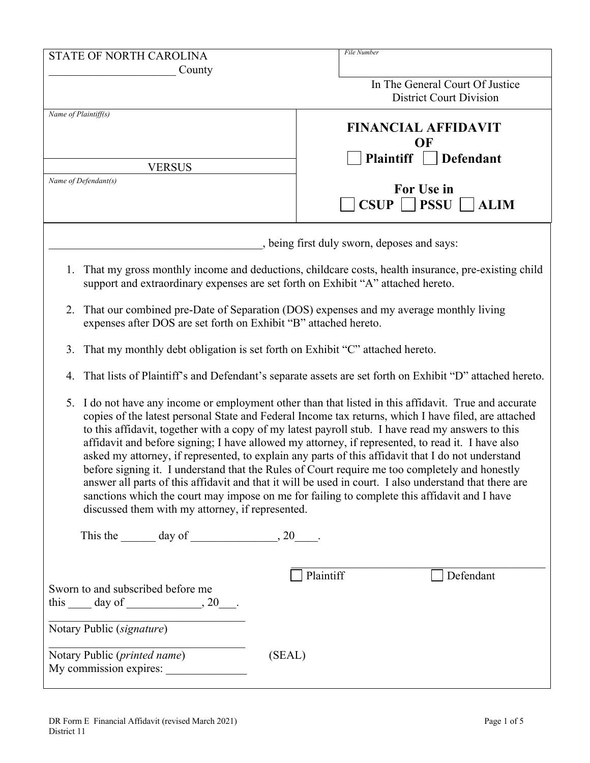| STATE OF NORTH CAROLINA<br>County                                                                                                                                                                                                                                                                                                                                                                                                                                                                                                                                                                                                                                                                                                                                                                                                                                                                | File Number                                                                                                |  |  |  |
|--------------------------------------------------------------------------------------------------------------------------------------------------------------------------------------------------------------------------------------------------------------------------------------------------------------------------------------------------------------------------------------------------------------------------------------------------------------------------------------------------------------------------------------------------------------------------------------------------------------------------------------------------------------------------------------------------------------------------------------------------------------------------------------------------------------------------------------------------------------------------------------------------|------------------------------------------------------------------------------------------------------------|--|--|--|
|                                                                                                                                                                                                                                                                                                                                                                                                                                                                                                                                                                                                                                                                                                                                                                                                                                                                                                  | In The General Court Of Justice<br><b>District Court Division</b>                                          |  |  |  |
| Name of Plaintiff(s)                                                                                                                                                                                                                                                                                                                                                                                                                                                                                                                                                                                                                                                                                                                                                                                                                                                                             | <b>FINANCIAL AFFIDAVIT</b><br>OF                                                                           |  |  |  |
| <b>VERSUS</b>                                                                                                                                                                                                                                                                                                                                                                                                                                                                                                                                                                                                                                                                                                                                                                                                                                                                                    | <b>Plaintiff</b><br><b>Defendant</b>                                                                       |  |  |  |
| Name of Defendant(s)                                                                                                                                                                                                                                                                                                                                                                                                                                                                                                                                                                                                                                                                                                                                                                                                                                                                             | For Use in<br>CSUP<br>$ $ PSSU<br><b>ALIM</b>                                                              |  |  |  |
|                                                                                                                                                                                                                                                                                                                                                                                                                                                                                                                                                                                                                                                                                                                                                                                                                                                                                                  | , being first duly sworn, deposes and says:                                                                |  |  |  |
| That my gross monthly income and deductions, childcare costs, health insurance, pre-existing child<br>1.<br>support and extraordinary expenses are set forth on Exhibit "A" attached hereto.                                                                                                                                                                                                                                                                                                                                                                                                                                                                                                                                                                                                                                                                                                     |                                                                                                            |  |  |  |
| That our combined pre-Date of Separation (DOS) expenses and my average monthly living<br>2.<br>expenses after DOS are set forth on Exhibit "B" attached hereto.                                                                                                                                                                                                                                                                                                                                                                                                                                                                                                                                                                                                                                                                                                                                  |                                                                                                            |  |  |  |
| That my monthly debt obligation is set forth on Exhibit "C" attached hereto.<br>3.                                                                                                                                                                                                                                                                                                                                                                                                                                                                                                                                                                                                                                                                                                                                                                                                               |                                                                                                            |  |  |  |
|                                                                                                                                                                                                                                                                                                                                                                                                                                                                                                                                                                                                                                                                                                                                                                                                                                                                                                  | 4. That lists of Plaintiff's and Defendant's separate assets are set forth on Exhibit "D" attached hereto. |  |  |  |
| I do not have any income or employment other than that listed in this affidavit. True and accurate<br>5.<br>copies of the latest personal State and Federal Income tax returns, which I have filed, are attached<br>to this affidavit, together with a copy of my latest payroll stub. I have read my answers to this<br>affidavit and before signing; I have allowed my attorney, if represented, to read it. I have also<br>asked my attorney, if represented, to explain any parts of this affidavit that I do not understand<br>before signing it. I understand that the Rules of Court require me too completely and honestly<br>answer all parts of this affidavit and that it will be used in court. I also understand that there are<br>sanctions which the court may impose on me for failing to complete this affidavit and I have<br>discussed them with my attorney, if represented. |                                                                                                            |  |  |  |
| This the $\_\_\_\_$ day of $\_\_\_\_\_$ , 20 $\_\_\_\_\$ .                                                                                                                                                                                                                                                                                                                                                                                                                                                                                                                                                                                                                                                                                                                                                                                                                                       |                                                                                                            |  |  |  |
| Sworn to and subscribed before me<br>this $\_\_\_$ day of $\_\_\_\_\_$ , 20 $\_\_\_\_\$ .<br>Notary Public (signature)<br>Notary Public (printed name)<br>(SEAL)                                                                                                                                                                                                                                                                                                                                                                                                                                                                                                                                                                                                                                                                                                                                 | Plaintiff<br>Defendant                                                                                     |  |  |  |
|                                                                                                                                                                                                                                                                                                                                                                                                                                                                                                                                                                                                                                                                                                                                                                                                                                                                                                  |                                                                                                            |  |  |  |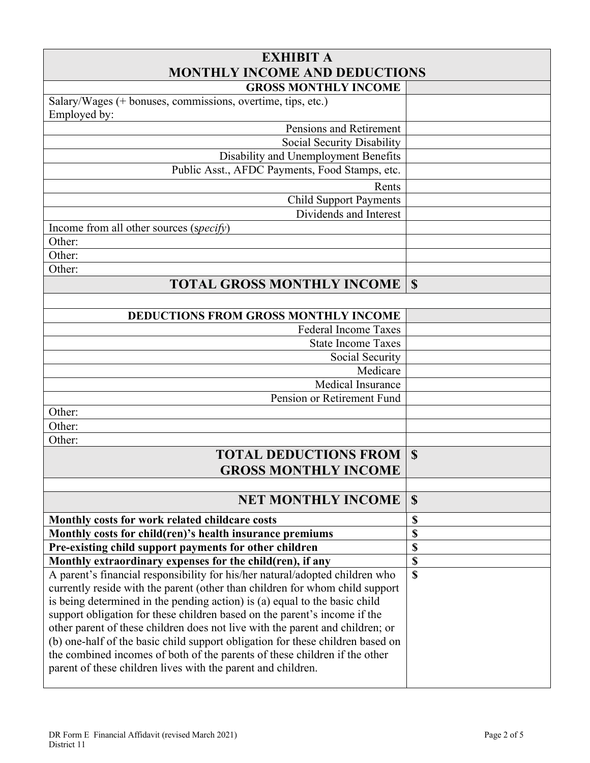| <b>EXHIBIT A</b>                                                               |                           |  |  |  |
|--------------------------------------------------------------------------------|---------------------------|--|--|--|
| <b>MONTHLY INCOME AND DEDUCTIONS</b>                                           |                           |  |  |  |
| <b>GROSS MONTHLY INCOME</b>                                                    |                           |  |  |  |
| Salary/Wages (+ bonuses, commissions, overtime, tips, etc.)<br>Employed by:    |                           |  |  |  |
| Pensions and Retirement                                                        |                           |  |  |  |
| Social Security Disability                                                     |                           |  |  |  |
| Disability and Unemployment Benefits                                           |                           |  |  |  |
| Public Asst., AFDC Payments, Food Stamps, etc.                                 |                           |  |  |  |
| Rents                                                                          |                           |  |  |  |
| <b>Child Support Payments</b>                                                  |                           |  |  |  |
| Dividends and Interest                                                         |                           |  |  |  |
| Income from all other sources (specify)                                        |                           |  |  |  |
| Other:                                                                         |                           |  |  |  |
| Other:                                                                         |                           |  |  |  |
| Other:                                                                         |                           |  |  |  |
| <b>TOTAL GROSS MONTHLY INCOME</b>                                              | $\mathbf S$               |  |  |  |
|                                                                                |                           |  |  |  |
| <b>DEDUCTIONS FROM GROSS MONTHLY INCOME</b>                                    |                           |  |  |  |
| <b>Federal Income Taxes</b>                                                    |                           |  |  |  |
| <b>State Income Taxes</b>                                                      |                           |  |  |  |
| Social Security                                                                |                           |  |  |  |
| Medicare                                                                       |                           |  |  |  |
| Medical Insurance                                                              |                           |  |  |  |
| Pension or Retirement Fund                                                     |                           |  |  |  |
| Other:                                                                         |                           |  |  |  |
| Other:                                                                         |                           |  |  |  |
| Other:                                                                         |                           |  |  |  |
| <b>TOTAL DEDUCTIONS FROM</b>                                                   | $\mathbf S$               |  |  |  |
| <b>GROSS MONTHLY INCOME</b>                                                    |                           |  |  |  |
|                                                                                |                           |  |  |  |
| <b>NET MONTHLY INCOME</b>                                                      | $\boldsymbol{\mathsf{S}}$ |  |  |  |
| Monthly costs for work related childcare costs                                 | \$                        |  |  |  |
| Monthly costs for child(ren)'s health insurance premiums                       | \$                        |  |  |  |
| Pre-existing child support payments for other children                         | \$                        |  |  |  |
| Monthly extraordinary expenses for the child(ren), if any                      | \$                        |  |  |  |
| A parent's financial responsibility for his/her natural/adopted children who   | \$                        |  |  |  |
| currently reside with the parent (other than children for whom child support   |                           |  |  |  |
| is being determined in the pending action) is (a) equal to the basic child     |                           |  |  |  |
| support obligation for these children based on the parent's income if the      |                           |  |  |  |
| other parent of these children does not live with the parent and children; or  |                           |  |  |  |
| (b) one-half of the basic child support obligation for these children based on |                           |  |  |  |
| the combined incomes of both of the parents of these children if the other     |                           |  |  |  |
| parent of these children lives with the parent and children.                   |                           |  |  |  |
|                                                                                |                           |  |  |  |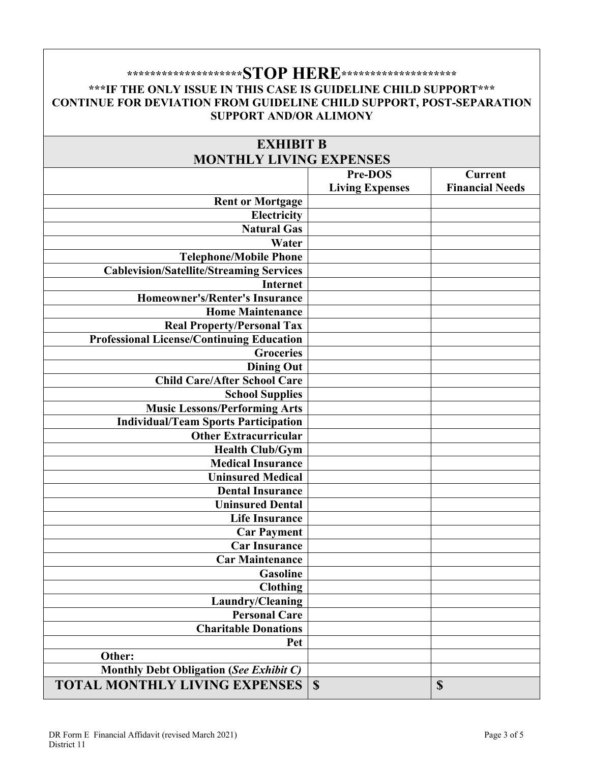## **\*\*\*\*\*\*\*\*\*\*\*\*\*\*\*\*\*\*\*\*STOP HERE\*\*\*\*\*\*\*\*\*\*\*\*\*\*\*\*\*\*\*\* \*\*\*IF THE ONLY ISSUE IN THIS CASE IS GUIDELINE CHILD SUPPORT\*\*\* CONTINUE FOR DEVIATION FROM GUIDELINE CHILD SUPPORT, POST-SEPARATION SUPPORT AND/OR ALIMONY**

| <b>EXHIBIT B</b>                                 |                        |                        |  |
|--------------------------------------------------|------------------------|------------------------|--|
| <b>MONTHLY LIVING EXPENSES</b>                   |                        |                        |  |
|                                                  | Pre-DOS                | <b>Current</b>         |  |
|                                                  | <b>Living Expenses</b> | <b>Financial Needs</b> |  |
| <b>Rent or Mortgage</b>                          |                        |                        |  |
| <b>Electricity</b>                               |                        |                        |  |
| <b>Natural Gas</b>                               |                        |                        |  |
| Water                                            |                        |                        |  |
| <b>Telephone/Mobile Phone</b>                    |                        |                        |  |
| <b>Cablevision/Satellite/Streaming Services</b>  |                        |                        |  |
| <b>Internet</b>                                  |                        |                        |  |
| <b>Homeowner's/Renter's Insurance</b>            |                        |                        |  |
| <b>Home Maintenance</b>                          |                        |                        |  |
| <b>Real Property/Personal Tax</b>                |                        |                        |  |
| <b>Professional License/Continuing Education</b> |                        |                        |  |
| <b>Groceries</b>                                 |                        |                        |  |
| <b>Dining Out</b>                                |                        |                        |  |
| <b>Child Care/After School Care</b>              |                        |                        |  |
| <b>School Supplies</b>                           |                        |                        |  |
| <b>Music Lessons/Performing Arts</b>             |                        |                        |  |
| <b>Individual/Team Sports Participation</b>      |                        |                        |  |
| <b>Other Extracurricular</b>                     |                        |                        |  |
| <b>Health Club/Gym</b>                           |                        |                        |  |
| <b>Medical Insurance</b>                         |                        |                        |  |
| <b>Uninsured Medical</b>                         |                        |                        |  |
| <b>Dental Insurance</b>                          |                        |                        |  |
| <b>Uninsured Dental</b>                          |                        |                        |  |
| <b>Life Insurance</b>                            |                        |                        |  |
| <b>Car Payment</b>                               |                        |                        |  |
| <b>Car Insurance</b>                             |                        |                        |  |
| <b>Car Maintenance</b>                           |                        |                        |  |
| <b>Gasoline</b>                                  |                        |                        |  |
| <b>Clothing</b>                                  |                        |                        |  |
| Laundry/Cleaning                                 |                        |                        |  |
| <b>Personal Care</b>                             |                        |                        |  |
| <b>Charitable Donations</b>                      |                        |                        |  |
| Pet                                              |                        |                        |  |
| Other:                                           |                        |                        |  |
| Monthly Debt Obligation (See Exhibit C)          |                        |                        |  |
| <b>TOTAL MONTHLY LIVING EXPENSES</b>             | $\mathbf S$            | $\mathbf{\$}$          |  |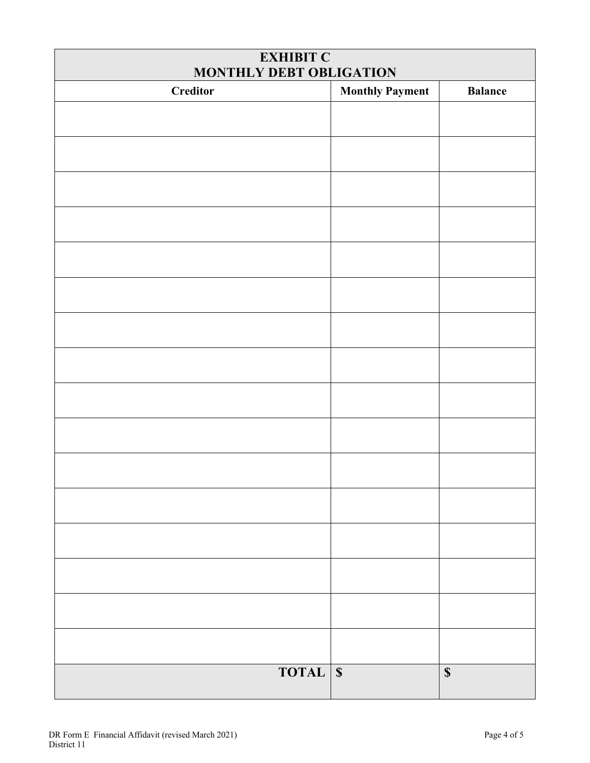| <b>EXHIBIT C</b><br>MONTHLY DEBT OBLIGATION |                        |                           |  |  |
|---------------------------------------------|------------------------|---------------------------|--|--|
| <b>Creditor</b>                             | <b>Monthly Payment</b> | <b>Balance</b>            |  |  |
|                                             |                        |                           |  |  |
|                                             |                        |                           |  |  |
|                                             |                        |                           |  |  |
|                                             |                        |                           |  |  |
|                                             |                        |                           |  |  |
|                                             |                        |                           |  |  |
|                                             |                        |                           |  |  |
|                                             |                        |                           |  |  |
|                                             |                        |                           |  |  |
|                                             |                        |                           |  |  |
|                                             |                        |                           |  |  |
|                                             |                        |                           |  |  |
|                                             |                        |                           |  |  |
|                                             |                        |                           |  |  |
|                                             |                        |                           |  |  |
|                                             |                        |                           |  |  |
| <b>TOTAL</b> \$                             |                        | $\boldsymbol{\mathsf{S}}$ |  |  |